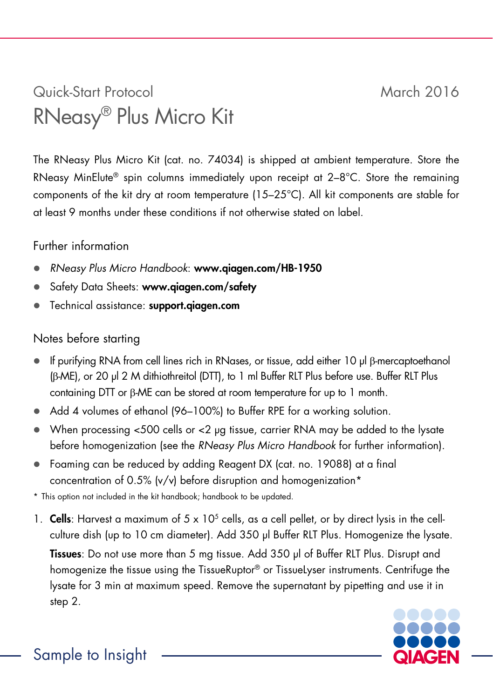## Quick-Start Protocol March 2016 RNeasy® Plus Micro Kit

The RNeasy Plus Micro Kit (cat. no. 74034) is shipped at ambient temperature. Store the RNeasy MinElute® spin columns immediately upon receipt at 2–8°C. Store the remaining components of the kit dry at room temperature (15–25°C). All kit components are stable for at least 9 months under these conditions if not otherwise stated on label.

## Further information

- *RNeasy Plus Micro Handbook*: www.qiagen.com/HB-1950
- Safety Data Sheets: www.aiaaen.com/safety
- **•** Technical assistance: support.qiagen.com

## Notes before starting

- If purifying RNA from cell lines rich in RNases, or tissue, add either 10 µl β-mercaptoethanol (β-ME), or 20 µl 2 M dithiothreitol (DTT), to 1 ml Buffer RLT Plus before use. Buffer RLT Plus containing DTT or β-ME can be stored at room temperature for up to 1 month.
- Add 4 volumes of ethanol (96–100%) to Buffer RPE for a working solution.
- When processing  $<$ 500 cells or  $<$ 2 ug tissue, carrier RNA may be added to the lysate before homogenization (see the *RNeasy Plus Micro Handbook* for further information).
- Foaming can be reduced by adding Reagent DX (cat. no. 19088) at a final concentration of 0.5% (v/v) before disruption and homogenization\*

\* This option not included in the kit handbook; handbook to be updated.

1. Cells: Harvest a maximum of  $5 \times 10^5$  cells, as a cell pellet, or by direct lysis in the cellculture dish (up to 10 cm diameter). Add 350 µl Buffer RLT Plus. Homogenize the lysate. Tissues: Do not use more than 5 ma tissue. Add 350 ul of Buffer RLT Plus. Disrupt and homogenize the tissue using the TissueRuptor® or TissueLyser instruments. Centrifuge the lysate for 3 min at maximum speed. Remove the supernatant by pipetting and use it in step 2.



Sample to Insight